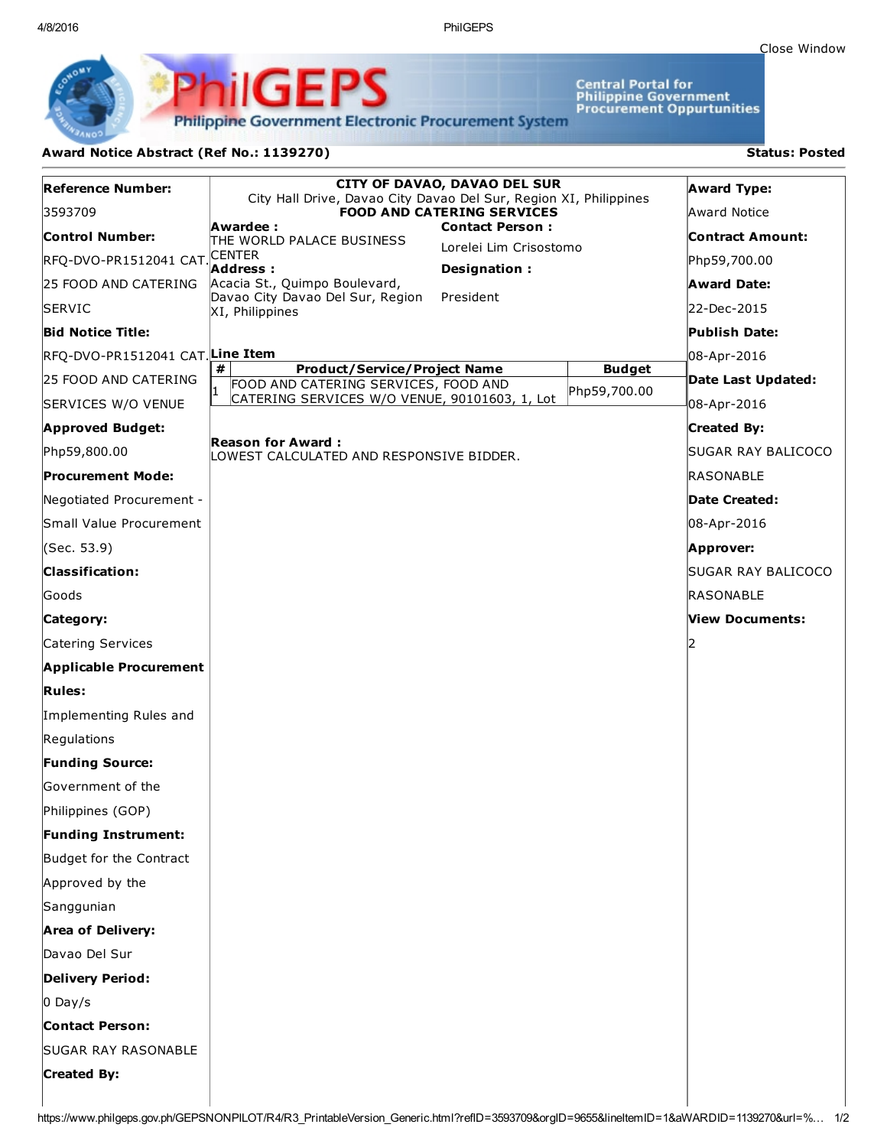4/8/2016 PhilGEPS

Central Portal for<br>Philippine Government<br>Procurement Oppurtunities

**Philippine Government Electronic Procurement System** 

## Award Notice Abstract (Ref No.: 1139270) Status: Posted

PhilGEPS

| <b>Reference Number:</b>                     | <b>CITY OF DAVAO, DAVAO DEL SUR</b><br>City Hall Drive, Davao City Davao Del Sur, Region XI, Philippines<br><b>FOOD AND CATERING SERVICES</b> |                                                  |                               | <b>Award Type:</b> |
|----------------------------------------------|-----------------------------------------------------------------------------------------------------------------------------------------------|--------------------------------------------------|-------------------------------|--------------------|
| 3593709                                      |                                                                                                                                               |                                                  |                               | Award Notice       |
| Control Number:                              | Awardee :<br>THE WORLD PALACE BUSINESS                                                                                                        | <b>Contact Person:</b><br>Lorelei Lim Crisostomo |                               | Contract Amount:   |
| RFQ-DVO-PR1512041 CAT CENTER                 | Address :<br>Designation:                                                                                                                     |                                                  |                               | Php59,700.00       |
| 25 FOOD AND CATERING                         | Acacia St., Quimpo Boulevard,                                                                                                                 |                                                  |                               | Award Date:        |
| <b>SERVIC</b>                                | Davao City Davao Del Sur, Region<br>XI, Philippines                                                                                           | President                                        |                               | 22-Dec-2015        |
| <b>Bid Notice Title:</b>                     |                                                                                                                                               |                                                  |                               | Publish Date:      |
| RFQ-DVO-PR1512041 CAT <mark>Line Item</mark> |                                                                                                                                               |                                                  |                               | 08-Apr-2016        |
| 25 FOOD AND CATERING                         | #<br><b>Product/Service/Project Name</b><br>FOOD AND CATERING SERVICES, FOOD AND                                                              |                                                  | <b>Budget</b><br>Php59,700.00 | Date Last Updated: |
| SERVICES W/O VENUE                           | CATERING SERVICES W/O VENUE, 90101603, 1, Lot                                                                                                 |                                                  |                               | 08-Apr-2016        |
| <b>Approved Budget:</b>                      |                                                                                                                                               |                                                  |                               | <b>Created By:</b> |
| Php59,800.00                                 | <b>Reason for Award :</b><br>LOWEST CALCULATED AND RESPONSIVE BIDDER.                                                                         |                                                  |                               | SUGAR RAY BALICOCO |
| Procurement Mode:                            |                                                                                                                                               |                                                  |                               | RASONABLE          |
| Negotiated Procurement -                     |                                                                                                                                               |                                                  |                               | Date Created:      |
| Small Value Procurement                      |                                                                                                                                               |                                                  |                               | 08-Apr-2016        |
| (Sec. 53.9)                                  |                                                                                                                                               |                                                  |                               | Approver:          |
| <b>Classification:</b>                       |                                                                                                                                               |                                                  |                               | SUGAR RAY BALICOCO |
| Goods                                        |                                                                                                                                               |                                                  |                               | RASONABLE          |
| Category:                                    |                                                                                                                                               |                                                  |                               | View Documents:    |
| Catering Services                            |                                                                                                                                               |                                                  |                               | 12                 |
| <b>Applicable Procurement</b>                |                                                                                                                                               |                                                  |                               |                    |
| <b>Rules:</b>                                |                                                                                                                                               |                                                  |                               |                    |
| Implementing Rules and                       |                                                                                                                                               |                                                  |                               |                    |
| Regulations                                  |                                                                                                                                               |                                                  |                               |                    |
| <b>Funding Source:</b>                       |                                                                                                                                               |                                                  |                               |                    |
| Government of the                            |                                                                                                                                               |                                                  |                               |                    |
| Philippines (GOP)                            |                                                                                                                                               |                                                  |                               |                    |
| <b>Funding Instrument:</b>                   |                                                                                                                                               |                                                  |                               |                    |
| Budget for the Contract                      |                                                                                                                                               |                                                  |                               |                    |
| Approved by the                              |                                                                                                                                               |                                                  |                               |                    |
| Sanggunian                                   |                                                                                                                                               |                                                  |                               |                    |
| <b>Area of Delivery:</b>                     |                                                                                                                                               |                                                  |                               |                    |
| Davao Del Sur                                |                                                                                                                                               |                                                  |                               |                    |
| <b>Delivery Period:</b>                      |                                                                                                                                               |                                                  |                               |                    |
| $0$ Day/s                                    |                                                                                                                                               |                                                  |                               |                    |
| <b>Contact Person:</b>                       |                                                                                                                                               |                                                  |                               |                    |
| <b>SUGAR RAY RASONABLE</b>                   |                                                                                                                                               |                                                  |                               |                    |
| <b>Created By:</b>                           |                                                                                                                                               |                                                  |                               |                    |
|                                              |                                                                                                                                               |                                                  |                               |                    |